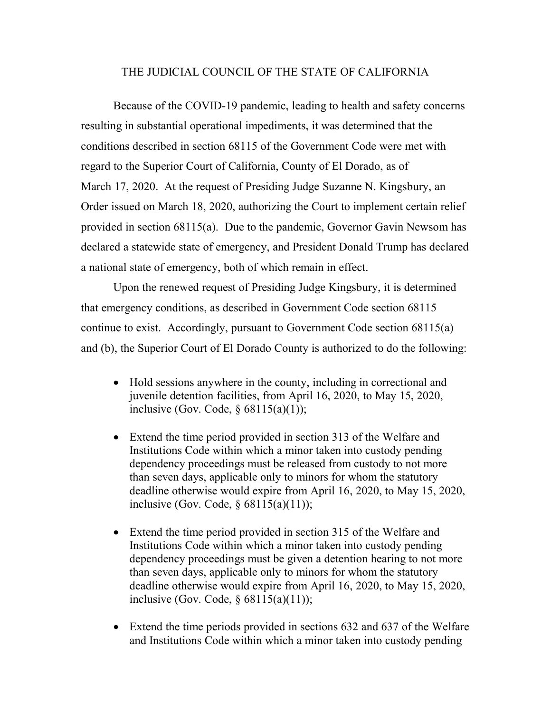## THE JUDICIAL COUNCIL OF THE STATE OF CALIFORNIA

Because of the COVID-19 pandemic, leading to health and safety concerns resulting in substantial operational impediments, it was determined that the conditions described in section 68115 of the Government Code were met with regard to the Superior Court of California, County of El Dorado, as of March 17, 2020. At the request of Presiding Judge Suzanne N. Kingsbury, an Order issued on March 18, 2020, authorizing the Court to implement certain relief provided in section 68115(a). Due to the pandemic, Governor Gavin Newsom has declared a statewide state of emergency, and President Donald Trump has declared a national state of emergency, both of which remain in effect.

Upon the renewed request of Presiding Judge Kingsbury, it is determined that emergency conditions, as described in Government Code section 68115 continue to exist. Accordingly, pursuant to Government Code section 68115(a) and (b), the Superior Court of El Dorado County is authorized to do the following:

- Hold sessions anywhere in the county, including in correctional and juvenile detention facilities, from April 16, 2020, to May 15, 2020, inclusive (Gov. Code,  $\S$  68115(a)(1));
- Extend the time period provided in section 313 of the Welfare and Institutions Code within which a minor taken into custody pending dependency proceedings must be released from custody to not more than seven days, applicable only to minors for whom the statutory deadline otherwise would expire from April 16, 2020, to May 15, 2020, inclusive (Gov. Code,  $\S$  68115(a)(11));
- Extend the time period provided in section 315 of the Welfare and Institutions Code within which a minor taken into custody pending dependency proceedings must be given a detention hearing to not more than seven days, applicable only to minors for whom the statutory deadline otherwise would expire from April 16, 2020, to May 15, 2020, inclusive (Gov. Code, § 68115(a)(11));
- Extend the time periods provided in sections 632 and 637 of the Welfare and Institutions Code within which a minor taken into custody pending